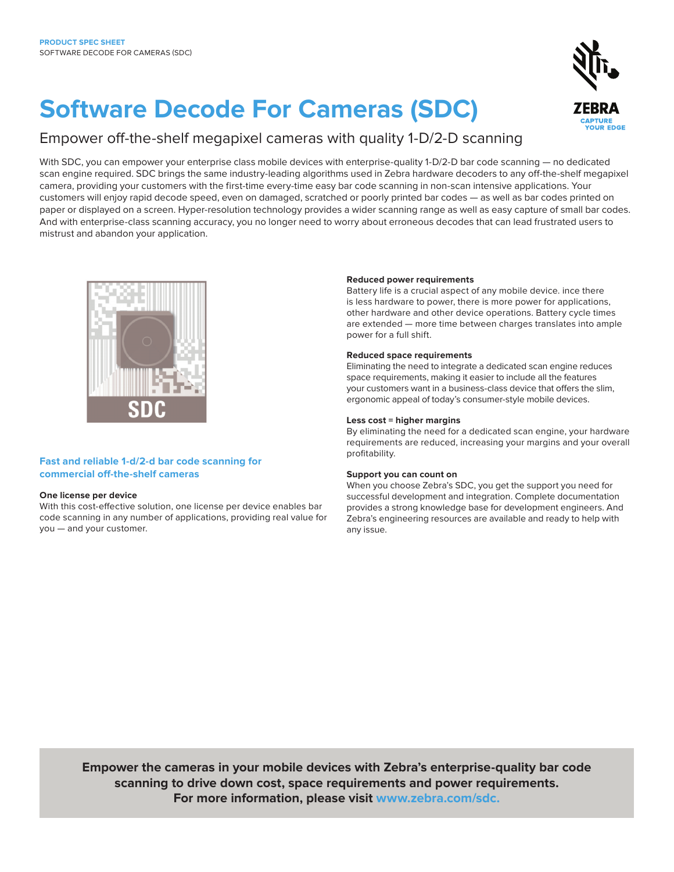# **Software Decode For Cameras (SDC)**

### Empower off-the-shelf megapixel cameras with quality 1-D/2-D scanning

With SDC, you can empower your enterprise class mobile devices with enterprise-quality 1-D/2-D bar code scanning — no dedicated scan engine required. SDC brings the same industry-leading algorithms used in Zebra hardware decoders to any off-the-shelf megapixel camera, providing your customers with the first-time every-time easy bar code scanning in non-scan intensive applications. Your customers will enjoy rapid decode speed, even on damaged, scratched or poorly printed bar codes — as well as bar codes printed on paper or displayed on a screen. Hyper-resolution technology provides a wider scanning range as well as easy capture of small bar codes. And with enterprise-class scanning accuracy, you no longer need to worry about erroneous decodes that can lead frustrated users to mistrust and abandon your application.



#### **Fast and reliable 1-d/2-d bar code scanning for commercial off-the-shelf cameras**

#### **One license per device**

With this cost-effective solution, one license per device enables bar code scanning in any number of applications, providing real value for you — and your customer.

#### **Reduced power requirements**

Battery life is a crucial aspect of any mobile device. ince there is less hardware to power, there is more power for applications, other hardware and other device operations. Battery cycle times are extended — more time between charges translates into ample power for a full shift.

#### **Reduced space requirements**

Eliminating the need to integrate a dedicated scan engine reduces space requirements, making it easier to include all the features your customers want in a business-class device that offers the slim, ergonomic appeal of today's consumer-style mobile devices.

#### **Less cost = higher margins**

By eliminating the need for a dedicated scan engine, your hardware requirements are reduced, increasing your margins and your overall profitability.

#### **Support you can count on**

When you choose Zebra's SDC, you get the support you need for successful development and integration. Complete documentation provides a strong knowledge base for development engineers. And Zebra's engineering resources are available and ready to help with any issue.

**Empower the cameras in your mobile devices with Zebra's enterprise-quality bar code scanning to drive down cost, space requirements and power requirements. For more information, please visit [www.zebra.com/sdc](https://www.zebra.com/us/en/products/oem/oem-engines/oem-software-decode/software-decode-for-cameras.html).**

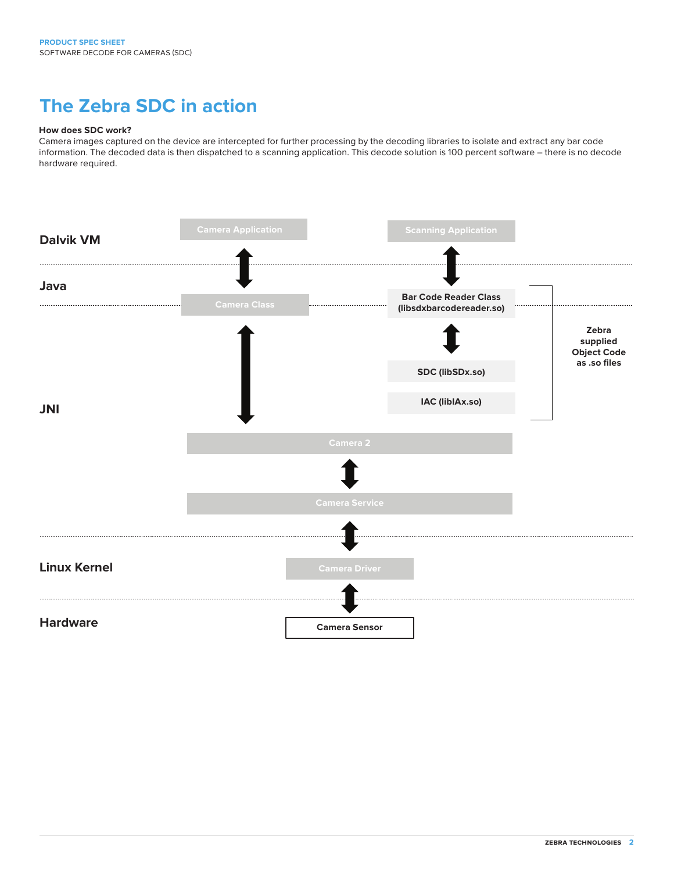## **The Zebra SDC in action**

#### **How does SDC work?**

Camera images captured on the device are intercepted for further processing by the decoding libraries to isolate and extract any bar code information. The decoded data is then dispatched to a scanning application. This decode solution is 100 percent software – there is no decode hardware required.